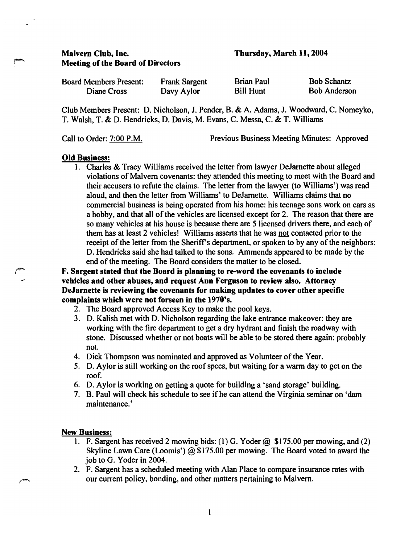# Malvern Club, Inc. Meeting of the Board of Directors

Thursday, March 11,2004

| <b>Board Members Present:</b> | <b>Frank Sargent</b> | <b>Brian Paul</b> | <b>Bob Schantz</b>  |
|-------------------------------|----------------------|-------------------|---------------------|
| Diane Cross                   | Davy Aylor           | <b>Bill Hunt</b>  | <b>Bob Anderson</b> |

Club Members Present: D. Nicholson, 1. Pender, B. & A. Adams, J. Woodward, C. Nomeyko, T. Walsh, T. & D. Hendricks, D. Davis, M. Evans, C. Messa, C. & T. Williams

Call to Order: 7:00 P.M. Previous Business Meeting Minutes: Approved

# Old Business:

1. Charles & Tracy Williams received the letter from lawyer DeJarnette about alleged violations of Malvern covenants: they attended this meeting to meet with the Board and their accusers to refute the claims. The letter from the lawyer (to Williams') was read aloud, and then the letter from Williams' to Dejarnette. Williams claims that no commercial business is being operated from his home: his teenage sons work on cars as a hobby, and that all of the vehicles are licensed except for 2. The reason that there are so many vehicles at his house is because there are 5 licensed drivers there, and each of them has at least 2 vehicles! Williams asserts that he was not contacted prior to the receipt of the letter from the Sheriff's department, or spoken to by any of the neighbors: D. Hendricks said she had talked to the sons. Ammends appeared to be made by the end of the meeting. The Board considers the matter to be closed.

F. Sargent stated that the Board is planning to re-word the covenants to include vehicles and other abuses, and request Ann Ferguson to review also. Attorney DeJarnette is reviewing the covenants for making updates to cover other specific complaints which were not forseen in the 1970's.

- 2. The Board approved Access Key to make the pool keys.
- 3. D. Kalish met with D. Nicholson regarding the lake entrance makeover: they are working with the fire department to get a dry hydrant and finish the roadway with stone. Discussed whether or not boats will be able to be stored there again: probably not.
- 4. Dick Thompson was nominated and approved as Volunteer of the Year.
- 5. D. Aylor is still working on the roof specs, but waiting for a warm day to get on the roof.
- 6. D. Aylor is working on getting a quote for building a 'sand storage' building.
- 7. B. Paul will check his schedule to see if he can attend the Virginia seminar on 'dam maintenance.'

# New Business:

- 1. F. Sargent has received 2 mowing bids: (1) G. Yoder  $@$  \$175.00 per mowing, and (2) Skyline Lawn Care (Loomis')  $\omega$  \$175.00 per mowing. The Board voted to award the job to G. Yoder in 2004.
- 2. F. Sargent has a scheduled meeting with Alan Place to compare insurance rates with our current policy, bonding, and other matters pertaining to Malvern.